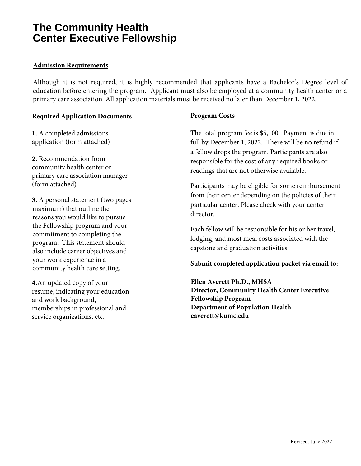# **The Community Health Center Executive Fellowship**

## **Admission Requirements**

Although it is not required, it is highly recommended that applicants have a Bachelor's Degree level of education before entering the program. Applicant must also be employed at a community health center or a primary care association. All application materials must be received no later than December 1, 2022.

# **Required Application Documents**

**1.** A completed admissions application (form attached)

**2.** Recommendation from community health center or primary care association manager (form attached)

**3.** A personal statement (two pages maximum) that outline the reasons you would like to pursue the Fellowship program and your commitment to completing the program. This statement should also include career objectives and your work experience in a community health care setting.

**4.**An updated copy of your resume, indicating your education and work background, memberships in professional and service organizations, etc.

# **Program Costs**

The total program fee is \$5,100. Payment is due in full by December 1, 2022. There will be no refund if a fellow drops the program. Participants are also responsible for the cost of any required books or readings that are not otherwise available.

Participants may be eligible for some reimbursement from their center depending on the policies of their particular center. Please check with your center director.

Each fellow will be responsible for his or her travel, lodging, and most meal costs associated with the capstone and graduation activities.

# **Submit completed application packet via email to:**

**Ellen Averett Ph.D., MHSA Director, Community Health Center Executive Fellowship Program Department of Population Health eaverett@kumc.edu**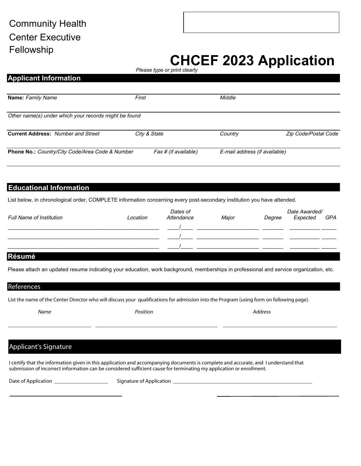# **CHCEF 2023 Application**

*Please type or print clearly* 

| <b>Applicant Information</b>                          |              |                      |                               |                      |  |
|-------------------------------------------------------|--------------|----------------------|-------------------------------|----------------------|--|
|                                                       |              |                      |                               |                      |  |
| Name: Family Name                                     | First        |                      | Middle                        |                      |  |
| Other name(s) under which your records might be found |              |                      |                               |                      |  |
| <b>Current Address: Number and Street</b>             | City & State |                      | Country                       | Zip Code/Postal Code |  |
| Phone No.: Country/City Code/Area Code & Number       |              | Fax # (if available) | E-mail address (if available) |                      |  |

#### **Educational Information**

List below, in chronological order, COMPLETE information concerning every post-secondary institution you have attended.

| <b>Full Name of Institution</b> | Location | Dates of<br>Attendance | Major | Degree | Date Awarded/<br>Expected | GPA |
|---------------------------------|----------|------------------------|-------|--------|---------------------------|-----|
|                                 |          |                        |       |        |                           |     |
|                                 |          |                        |       |        |                           |     |
|                                 |          |                        |       |        |                           |     |
|                                 |          |                        |       |        |                           |     |

#### |Résumé

Please attach an updated resume indicating your education, work background, memberships in professional and service organization, etc.

????????????????????????????????????????????????????????????????????????????????????????????????????????????????????????

#### **References**

List the name of the Center Director who will discuss your qualifications for admission into the Program (using form on following page).

# **Applicant's Signature**

I certify that the information given in this application and accompanying documents is complete and accurate, and I understand that submission of incorrect information can be considered sufficient cause for terminating my application or enrollment.

\$ATEOF!PPLICATION????????????????????3IGNATUREOF!PPLICATION????????????????????????????????????????????????????

.AME 0OSITION !DDRESS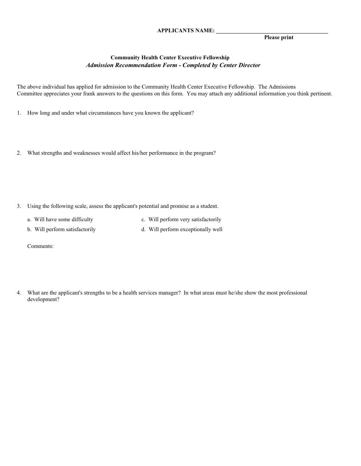#### **APPLICANTS NAME:**

## **Please print**

#### **Community Health Center Executive Fellowship Admission Recommendation Form - Completed by Center Director**

The above individual has applied for admission to the Community Health Center Executive Fellowship. The Admissions Committee appreciates your frank answers to the questions on this form. You may attach any additional information you think pertinent.

- 1. How long and under what circumstances have you known the applicant?
- 2. What strengths and weaknesses would affect his/her performance in the program?

- 3. Using the following scale, assess the applicant's potential and promise as a student.
	- a. Will have some difficulty
- c. Will perform very satisfactorily
- b. Will perform satisfactorily
- d. Will perform exceptionally well

Comments:

What are the applicant's strengths to be a health services manager? In what areas must he/she show the most professional 4. development?